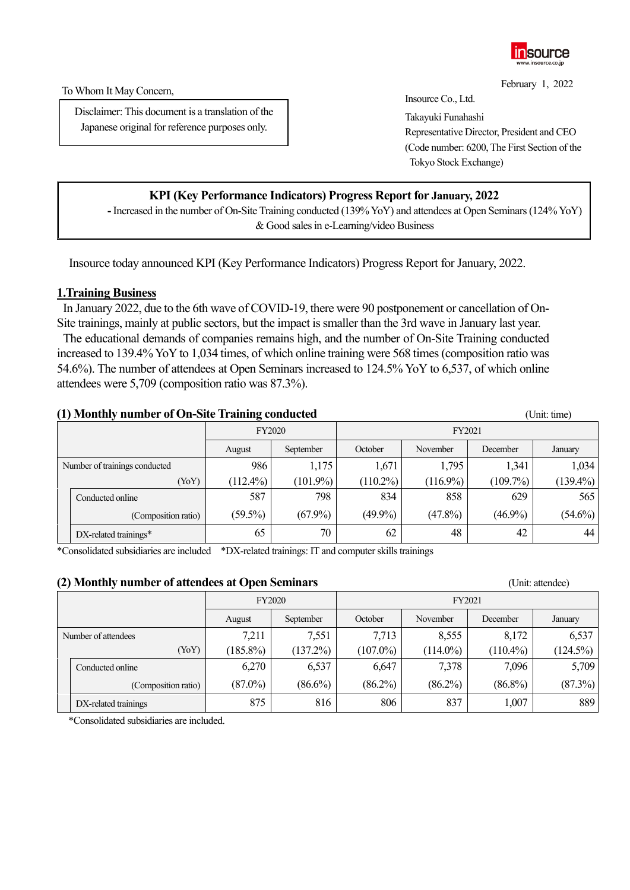

February 1, 2022

To Whom It May Concern,

Disclaimer: This document is a translation of the Japanese original for reference purposes only.

Insource Co., Ltd.

Takayuki Funahashi Representative Director, President and CEO (Code number: 6200, The First Section of the Tokyo Stock Exchange)

## **KPI (Key Performance Indicators) Progress Report for January, 2022**

**-** Increased in the number of On-Site Training conducted (139% YoY) and attendees at Open Seminars(124% YoY) & Good sales in e-Learning/video Business

Insource today announced KPI (Key Performance Indicators) Progress Report forJanuary, 2022.

### **1.Training Business**

In January 2022, due to the 6th wave of COVID-19, there were 90 postponement or cancellation of On-Site trainings, mainly at public sectors, but the impact is smaller than the 3rd wave in January last year.

The educational demands of companies remains high, and the number of On-Site Training conducted increased to 139.4% Yo Y to 1,034 times, of which online training were 568 times (composition ratio was 54.6%). The number of attendees at Open Seminars increased to 124.5% YoY to 6,537, of which online attendees were 5,709 (composition ratio was 87.3%).

### **(1) Monthly number of On-Site Training conducted** (Unit: time)

|                               |                             | <b>FY2020</b> |             | FY2021      |             |            |             |
|-------------------------------|-----------------------------|---------------|-------------|-------------|-------------|------------|-------------|
|                               |                             | August        | September   | October     | November    | December   | January     |
| Number of trainings conducted |                             | 986           | 1,175       | 1,671       | 1,795       | 1,341      | 1,034       |
|                               | (YoY)                       | $(112.4\%)$   | $(101.9\%)$ | $(110.2\%)$ | $(116.9\%)$ | (109.7%)   | $(139.4\%)$ |
|                               | Conducted online            | 587           | 798         | 834         | 858         | 629        | 565         |
|                               | (Composition ratio)         | $(59.5\%)$    | $(67.9\%)$  | $(49.9\%)$  | $(47.8\%)$  | $(46.9\%)$ | $(54.6\%)$  |
|                               | $DX$ -related trainings $*$ | 65            | 70          | 62          | 48          | 42         | 44          |

\*Consolidated subsidiaries are included \*DX-related trainings: IT and computer skills trainings

#### **(2) Monthly number of attendees at Open Seminars** (Unit: attendee)

|                     |                      | <b>FY2020</b> |             | FY2021      |             |                 |             |
|---------------------|----------------------|---------------|-------------|-------------|-------------|-----------------|-------------|
|                     |                      | August        | September   | October     | November    | <b>December</b> | January     |
| Number of attendees |                      | 7,211         | 7,551       | 7,713       | 8,555       | 8,172           | 6,537       |
|                     | (YoY)                | $(185.8\%)$   | $(137.2\%)$ | $(107.0\%)$ | $(114.0\%)$ | $(110.4\%)$     | $(124.5\%)$ |
|                     | Conducted online     | 6,270         | 6,537       | 6,647       | 7,378       | 7,096           | 5,709       |
|                     | (Composition ratio)  | $(87.0\%)$    | $(86.6\%)$  | $(86.2\%)$  | $(86.2\%)$  | $(86.8\%)$      | (87.3%)     |
|                     | DX-related trainings | 875           | 816         | 806         | 837         | 1,007           | 889         |

\*Consolidated subsidiaries are included.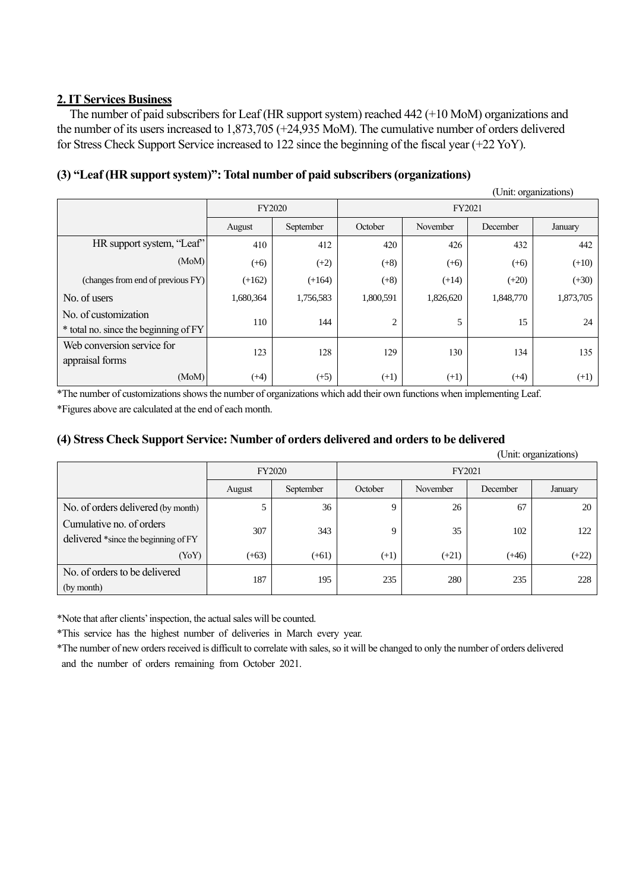## **2. IT Services Business**

The number of paid subscribers for Leaf (HR support system) reached 442 (+10 MoM) organizations and the number of its users increased to 1,873,705 (+24,935 MoM). The cumulative number of orders delivered for Stress Check Support Service increased to 122 since the beginning of the fiscal year (+22 YoY).

## **(3) "Leaf (HR support system)": Total number of paid subscribers (organizations)**

|                                                               |           |           |           |           |           | (Unit: organizations) |
|---------------------------------------------------------------|-----------|-----------|-----------|-----------|-----------|-----------------------|
|                                                               | FY2020    |           | FY2021    |           |           |                       |
|                                                               | August    | September | October   | November  | December  | January               |
| HR support system, "Leaf"                                     | 410       | 412       | 420       | 426       | 432       | 442                   |
| (MoM)                                                         | $(+6)$    | $(+2)$    | $(+8)$    | $(+6)$    | $(+6)$    | $(+10)$               |
| (changes from end of previous FY)                             | $(+162)$  | $(+164)$  | $(+8)$    | $(+14)$   | $(+20)$   | $(+30)$               |
| No. of users                                                  | 1,680,364 | 1,756,583 | 1,800,591 | 1,826,620 | 1,848,770 | 1,873,705             |
| No. of customization<br>* total no. since the beginning of FY | 110       | 144       | 2         | 5         | 15        | 24                    |
| Web conversion service for<br>appraisal forms                 | 123       | 128       | 129       | 130       | 134       | 135                   |
| (MoM)                                                         | $(+4)$    | $(+5)$    | $(+1)$    | $(+1)$    | $(+4)$    | $(+1)$                |

\*The number of customizations shows the number of organizations which add their own functions when implementing Leaf. \*Figures above are calculated at the end of each month.

### **(4) Stress Check Support Service: Number of orders delivered and orders to be delivered**

|                                                                  |         |               |         |          |          | (Unit: organizations) |  |
|------------------------------------------------------------------|---------|---------------|---------|----------|----------|-----------------------|--|
|                                                                  |         | <b>FY2020</b> |         | FY2021   |          |                       |  |
|                                                                  | August  | September     | October | November | December | January               |  |
| No. of orders delivered (by month)                               |         | 36            | 9       | 26       | 67       | 20                    |  |
| Cumulative no. of orders<br>delivered *since the beginning of FY | 307     | 343           | 9       | 35       | 102      | 122                   |  |
| (YoY)                                                            | $(+63)$ | $(+61)$       | $(+1)$  | $(+21)$  | $(+46)$  | $(+22)$               |  |
| No. of orders to be delivered<br>(by month)                      | 187     | 195           | 235     | 280      | 235      | 228                   |  |

\*Note that after clients' inspection, the actual sales will be counted.

\*This service has the highest number of deliveries in March every year.

\*The number of new orders received is difficult to correlate with sales, so it will be changed to only the number of orders delivered and the number of orders remaining from October 2021.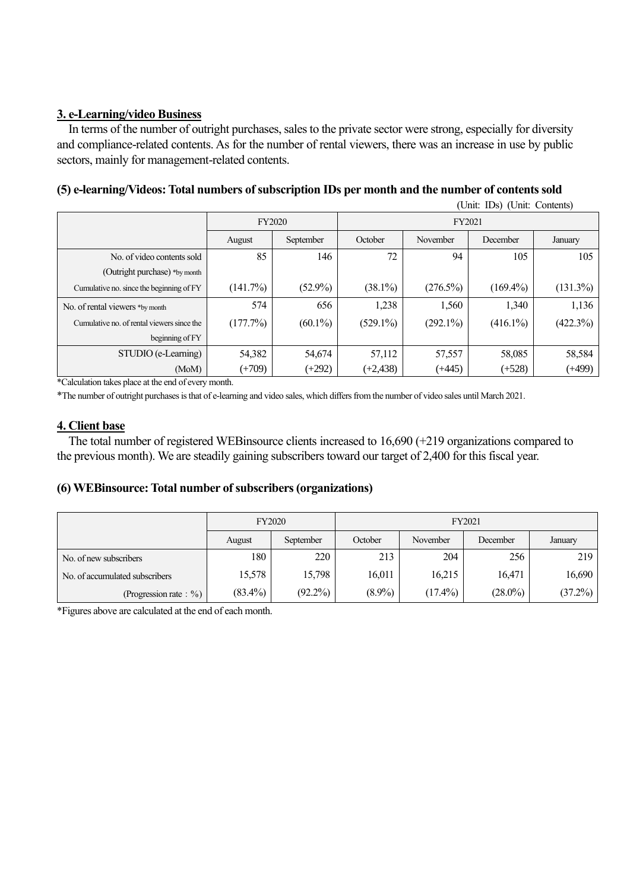# **3. e-Learning/video Business**

In terms of the number of outright purchases, sales to the private sector were strong, especially for diversity and compliance-related contents. As for the number of rental viewers, there was an increase in use by public sectors, mainly for management-related contents.

# **(5) e-learning/Videos: Total numbers of subscription IDs per month and the number of contents sold**

|                                            |          |                               | (Unit: IDs) (Unit: Contents) |             |             |             |  |
|--------------------------------------------|----------|-------------------------------|------------------------------|-------------|-------------|-------------|--|
|                                            |          | FY2020<br>September<br>August |                              | FY2021      |             |             |  |
|                                            |          |                               |                              | November    | December    | January     |  |
| No. of video contents sold                 | 85       | 146                           | 72                           | 94          | 105         | 105         |  |
| (Outright purchase) *by month              |          |                               |                              |             |             |             |  |
| Cumulative no. since the beginning of FY   | (141.7%) | $(52.9\%)$                    | $(38.1\%)$                   | $(276.5\%)$ | $(169.4\%)$ | $(131.3\%)$ |  |
| No. of rental viewers *by month            | 574      | 656                           | 1,238                        | 1,560       | 1,340       | 1,136       |  |
| Cumulative no. of rental viewers since the | (177.7%) | $(60.1\%)$                    | $(529.1\%)$                  | $(292.1\%)$ | $(416.1\%)$ | $(422.3\%)$ |  |
| beginning of FY                            |          |                               |                              |             |             |             |  |
| STUDIO (e-Learning)                        | 54,382   | 54,674                        | 57,112                       | 57,557      | 58,085      | 58,584      |  |
| (MoM)                                      | $(+709)$ | $(+292)$                      | $(+2, 438)$                  | $(+445)$    | $(+528)$    | $(+499)$    |  |

\*Calculation takes place at the end of every month.

\*The number of outright purchases is that of e-learning and video sales, which differs from the number of video sales until March 2021.

## **4. Client base**

The total number of registered WEBinsource clients increased to 16,690 (+219 organizations compared to the previous month). We are steadily gaining subscribers toward our target of 2,400 for this fiscal year.

## **(6) WEBinsource: Total number of subscribers (organizations)**

|                                | <b>FY2020</b> |            |           |            |                 |            |
|--------------------------------|---------------|------------|-----------|------------|-----------------|------------|
|                                | August        | September  | October   | November   | <b>December</b> | January    |
| No. of new subscribers         | 180           | 220        | 213       | 204        | 256             | 219        |
| No. of accumulated subscribers | 15,578        | 15,798     | 16,011    | 16,215     | 16,471          | 16,690     |
| (Progression rate: $\%$ )      | $(83.4\%)$    | $(92.2\%)$ | $(8.9\%)$ | $(17.4\%)$ | $(28.0\%)$      | $(37.2\%)$ |

\*Figures above are calculated at the end of each month.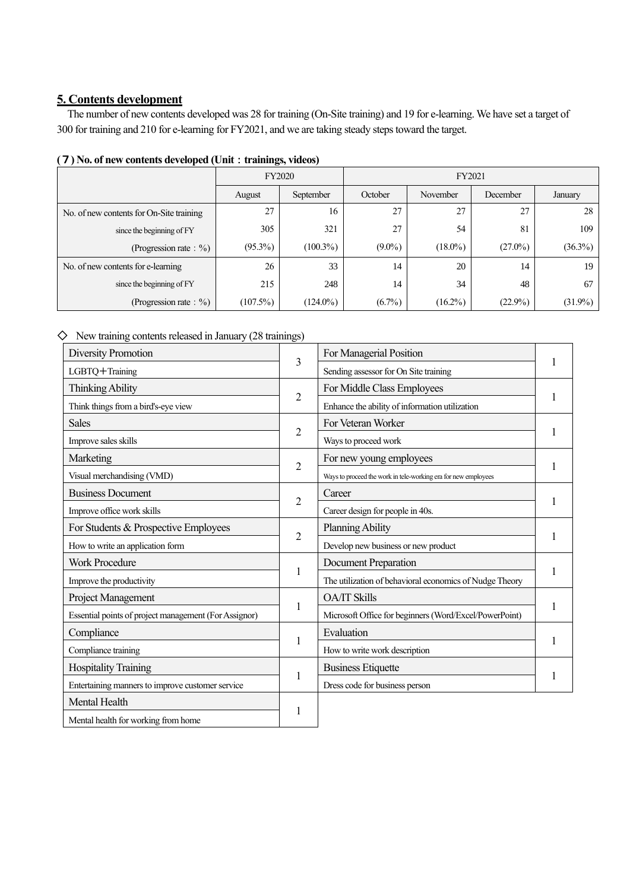### **5. Contents development**

The number of new contents developed was 28 for training (On-Site training) and 19 for e-learning. We have set a target of 300 for training and 210 for e-learning for FY2021, and we are taking steady steps toward the target.

| $\cdots$                                 |               |             |           |            |            |            |  |  |
|------------------------------------------|---------------|-------------|-----------|------------|------------|------------|--|--|
|                                          | <b>FY2020</b> |             | FY2021    |            |            |            |  |  |
|                                          | August        | September   |           | November   | December   | January    |  |  |
| No. of new contents for On-Site training | 27            | 16          | 27        | 27         | 27         | 28         |  |  |
| since the beginning of FY                | 305           | 321         | 27        | 54         | 81         | 109        |  |  |
| (Progression rate: $\%$ )                | $(95.3\%)$    | $(100.3\%)$ | $(9.0\%)$ | $(18.0\%)$ | $(27.0\%)$ | $(36.3\%)$ |  |  |
| No. of new contents for e-learning       | 26            | 33          | 14        | 20         | 14         | 19         |  |  |
| since the beginning of FY                | 215           | 248         | 14        | 34         | 48         | 67         |  |  |
| (Progression rate: $\%$ )                | $(107.5\%)$   | $(124.0\%)$ | $(6.7\%)$ | $(16.2\%)$ | $(22.9\%)$ | $(31.9\%)$ |  |  |

#### **(**7**) No. of new contents developed (Unit**:**trainings, videos)**

 $\diamondsuit$  New training contents released in January (28 trainings)

| <b>Diversity Promotion</b>                            |                | For Managerial Position                                        |  |  |
|-------------------------------------------------------|----------------|----------------------------------------------------------------|--|--|
| LGBTQ+Training                                        | 3              | Sending assessor for On Site training                          |  |  |
| Thinking Ability                                      |                | For Middle Class Employees                                     |  |  |
| Think things from a bird's-eye view                   | $\overline{2}$ | Enhance the ability of information utilization                 |  |  |
| <b>Sales</b>                                          |                | For Veteran Worker                                             |  |  |
| Improve sales skills                                  | $\overline{2}$ | Ways to proceed work                                           |  |  |
| Marketing                                             |                | For new young employees                                        |  |  |
| Visual merchandising (VMD)                            | $\overline{2}$ | Ways to proceed the work in tele-working era for new employees |  |  |
| <b>Business Document</b>                              |                | Career                                                         |  |  |
| Improve office work skills                            | $\overline{2}$ | Career design for people in 40s.                               |  |  |
| For Students & Prospective Employees                  |                | <b>Planning Ability</b>                                        |  |  |
| How to write an application form                      | $\overline{2}$ | Develop new business or new product                            |  |  |
| <b>Work Procedure</b>                                 |                | Document Preparation                                           |  |  |
| Improve the productivity                              | 1              | The utilization of behavioral economics of Nudge Theory        |  |  |
| Project Management                                    |                | <b>OA/IT Skills</b>                                            |  |  |
| Essential points of project management (For Assignor) | 1              | Microsoft Office for beginners (Word/Excel/PowerPoint)         |  |  |
| Compliance                                            |                | Evaluation                                                     |  |  |
| Compliance training                                   | 1              | How to write work description                                  |  |  |
| <b>Hospitality Training</b>                           |                | <b>Business Etiquette</b>                                      |  |  |
| Entertaining manners to improve customer service      | 1              | Dress code for business person                                 |  |  |
| Mental Health                                         |                |                                                                |  |  |
| Mental health for working from home                   |                |                                                                |  |  |